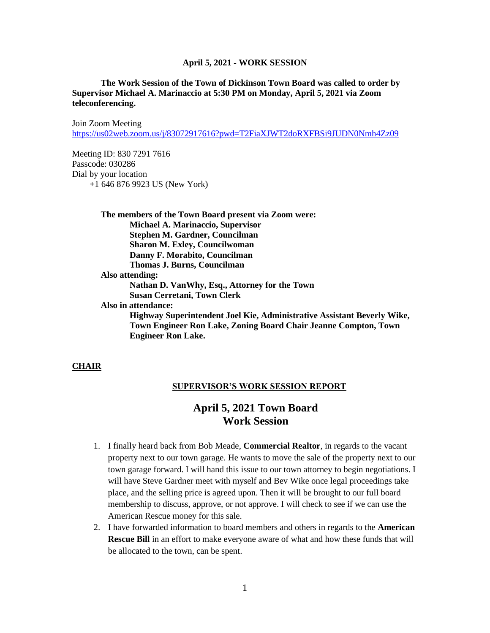### **The Work Session of the Town of Dickinson Town Board was called to order by Supervisor Michael A. Marinaccio at 5:30 PM on Monday, April 5, 2021 via Zoom teleconferencing.**

Join Zoom Meeting <https://us02web.zoom.us/j/83072917616?pwd=T2FiaXJWT2doRXFBSi9JUDN0Nmh4Zz09>

Meeting ID: 830 7291 7616 Passcode: 030286 Dial by your location +1 646 876 9923 US (New York)

> **The members of the Town Board present via Zoom were: Michael A. Marinaccio, Supervisor Stephen M. Gardner, Councilman Sharon M. Exley, Councilwoman Danny F. Morabito, Councilman Thomas J. Burns, Councilman Also attending: Nathan D. VanWhy, Esq., Attorney for the Town Susan Cerretani, Town Clerk Also in attendance: Highway Superintendent Joel Kie, Administrative Assistant Beverly Wike, Town Engineer Ron Lake, Zoning Board Chair Jeanne Compton, Town Engineer Ron Lake.**

#### **CHAIR**

#### **SUPERVISOR'S WORK SESSION REPORT**

# **April 5, 2021 Town Board Work Session**

- 1. I finally heard back from Bob Meade, **Commercial Realtor**, in regards to the vacant property next to our town garage. He wants to move the sale of the property next to our town garage forward. I will hand this issue to our town attorney to begin negotiations. I will have Steve Gardner meet with myself and Bev Wike once legal proceedings take place, and the selling price is agreed upon. Then it will be brought to our full board membership to discuss, approve, or not approve. I will check to see if we can use the American Rescue money for this sale.
- 2. I have forwarded information to board members and others in regards to the **American Rescue Bill** in an effort to make everyone aware of what and how these funds that will be allocated to the town, can be spent.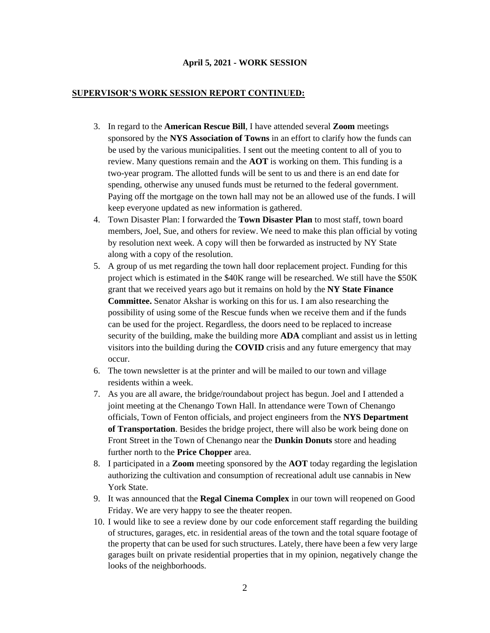### **SUPERVISOR'S WORK SESSION REPORT CONTINUED:**

- 3. In regard to the **American Rescue Bill**, I have attended several **Zoom** meetings sponsored by the **NYS Association of Towns** in an effort to clarify how the funds can be used by the various municipalities. I sent out the meeting content to all of you to review. Many questions remain and the **AOT** is working on them. This funding is a two-year program. The allotted funds will be sent to us and there is an end date for spending, otherwise any unused funds must be returned to the federal government. Paying off the mortgage on the town hall may not be an allowed use of the funds. I will keep everyone updated as new information is gathered.
- 4. Town Disaster Plan: I forwarded the **Town Disaster Plan** to most staff, town board members, Joel, Sue, and others for review. We need to make this plan official by voting by resolution next week. A copy will then be forwarded as instructed by NY State along with a copy of the resolution.
- 5. A group of us met regarding the town hall door replacement project. Funding for this project which is estimated in the \$40K range will be researched. We still have the \$50K grant that we received years ago but it remains on hold by the **NY State Finance Committee.** Senator Akshar is working on this for us. I am also researching the possibility of using some of the Rescue funds when we receive them and if the funds can be used for the project. Regardless, the doors need to be replaced to increase security of the building, make the building more **ADA** compliant and assist us in letting visitors into the building during the **COVID** crisis and any future emergency that may occur.
- 6. The town newsletter is at the printer and will be mailed to our town and village residents within a week.
- 7. As you are all aware, the bridge/roundabout project has begun. Joel and I attended a joint meeting at the Chenango Town Hall. In attendance were Town of Chenango officials, Town of Fenton officials, and project engineers from the **NYS Department of Transportation**. Besides the bridge project, there will also be work being done on Front Street in the Town of Chenango near the **Dunkin Donuts** store and heading further north to the **Price Chopper** area.
- 8. I participated in a **Zoom** meeting sponsored by the **AOT** today regarding the legislation authorizing the cultivation and consumption of recreational adult use cannabis in New York State.
- 9. It was announced that the **Regal Cinema Complex** in our town will reopened on Good Friday. We are very happy to see the theater reopen.
- 10. I would like to see a review done by our code enforcement staff regarding the building of structures, garages, etc. in residential areas of the town and the total square footage of the property that can be used for such structures. Lately, there have been a few very large garages built on private residential properties that in my opinion, negatively change the looks of the neighborhoods.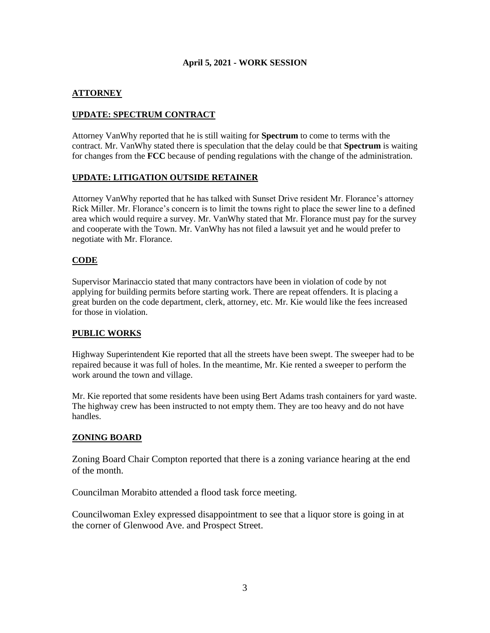# **ATTORNEY**

# **UPDATE: SPECTRUM CONTRACT**

Attorney VanWhy reported that he is still waiting for **Spectrum** to come to terms with the contract. Mr. VanWhy stated there is speculation that the delay could be that **Spectrum** is waiting for changes from the **FCC** because of pending regulations with the change of the administration.

## **UPDATE: LITIGATION OUTSIDE RETAINER**

Attorney VanWhy reported that he has talked with Sunset Drive resident Mr. Florance's attorney Rick Miller. Mr. Florance's concern is to limit the towns right to place the sewer line to a defined area which would require a survey. Mr. VanWhy stated that Mr. Florance must pay for the survey and cooperate with the Town. Mr. VanWhy has not filed a lawsuit yet and he would prefer to negotiate with Mr. Florance.

## **CODE**

Supervisor Marinaccio stated that many contractors have been in violation of code by not applying for building permits before starting work. There are repeat offenders. It is placing a great burden on the code department, clerk, attorney, etc. Mr. Kie would like the fees increased for those in violation.

### **PUBLIC WORKS**

Highway Superintendent Kie reported that all the streets have been swept. The sweeper had to be repaired because it was full of holes. In the meantime, Mr. Kie rented a sweeper to perform the work around the town and village.

Mr. Kie reported that some residents have been using Bert Adams trash containers for yard waste. The highway crew has been instructed to not empty them. They are too heavy and do not have handles.

# **ZONING BOARD**

Zoning Board Chair Compton reported that there is a zoning variance hearing at the end of the month.

Councilman Morabito attended a flood task force meeting.

Councilwoman Exley expressed disappointment to see that a liquor store is going in at the corner of Glenwood Ave. and Prospect Street.